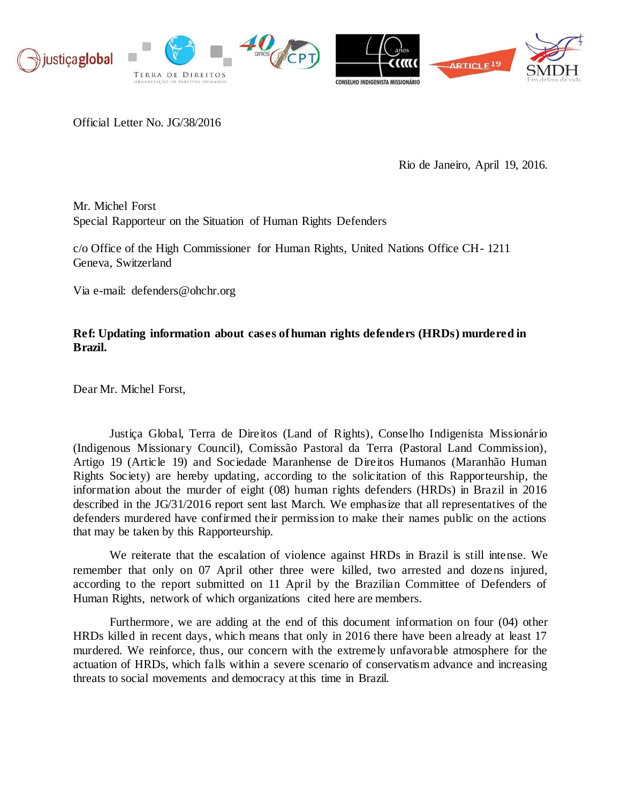

Official Letter No. JG/38/2016

Rio de Janeiro, April 19, 2016.

Mr. Michel Forst Special Rapporteur on the Situation of Human Rights Defenders

c/o Office of the High Commissioner for Human Rights, United Nations Office CH- 1211 Geneva, Switzerland

Via e-m[ail: defenders@ohchr.org](mailto:defenders@ohchr.org)

# **Ref: Updating information about cases of human rights defenders (HRDs) murdered in Brazil.**

Dear Mr. Michel Forst,

Justiça Global, Terra de Direitos (Land of Rights), Conselho Indigenista Missionário (Indigenous Missionary Council), Comissão Pastoral da Terra (Pastoral Land Commission), Artigo 19 (Article 19) and Sociedade Maranhense de Direitos Humanos (Maranhão Human Rights Society) are hereby updating, according to the solicitation of this Rapporteurship, the information about the murder of eight (08) human rights defenders (HRDs) in Brazil in 2016 described in the JG/31/2016 report sent last March. We emphasize that all representatives of the defenders murdered have confirmed their permission to make their names public on the actions that may be taken by this Rapporteurship.

We reiterate that the escalation of violence against HRDs in Brazil is still intense. We remember that only on 07 April other three were killed, two arrested and dozens injured, according to the report submitted on 11 April by the Brazilian Committee of Defenders of Human Rights, network of which organizations cited here are members.

Furthermore, we are adding at the end of this document information on four (04) other HRDs killed in recent days, which means that only in 2016 there have been already at least 17 murdered. We reinforce, thus, our concern with the extremely unfavorable atmosphere for the actuation of HRDs, which falls within a severe scenario of conservatism advance and increasing threats to social movements and democracy at this time in Brazil.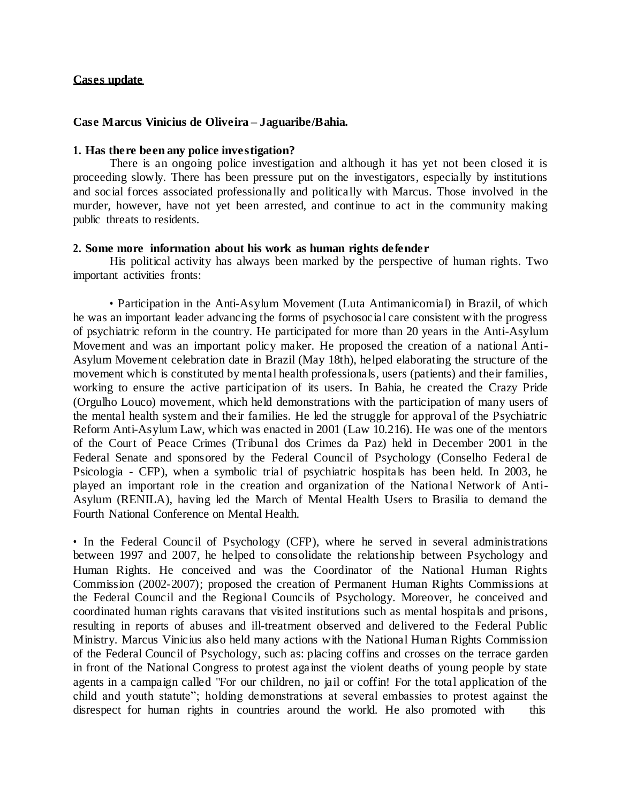### **Cases update**

### **Case Marcus Vinicius de Oliveira – Jaguaribe/Bahia.**

# **1. Has there been any police investigation?**

There is an ongoing police investigation and although it has yet not been closed it is proceeding slowly. There has been pressure put on the investigators, especially by institutions and social forces associated professionally and politically with Marcus. Those involved in the murder, however, have not yet been arrested, and continue to act in the community making public threats to residents.

# **2. Some more information about his work as human rights defender**

His political activity has always been marked by the perspective of human rights. Two important activities fronts:

• Participation in the Anti-Asylum Movement (Luta Antimanicomial) in Brazil, of which he was an important leader advancing the forms of psychosocial care consistent with the progress of psychiatric reform in the country. He participated for more than 20 years in the Anti-Asylum Movement and was an important policy maker. He proposed the creation of a national Anti-Asylum Movement celebration date in Brazil (May 18th), helped elaborating the structure of the movement which is constituted by mental health professionals, users (patients) and their families, working to ensure the active participation of its users. In Bahia, he created the Crazy Pride (Orgulho Louco) movement, which held demonstrations with the participation of many users of the mental health system and their families. He led the struggle for approval of the Psychiatric Reform Anti-Asylum Law, which was enacted in 2001 (Law 10.216). He was one of the mentors of the Court of Peace Crimes (Tribunal dos Crimes da Paz) held in December 2001 in the Federal Senate and sponsored by the Federal Council of Psychology (Conselho Federal de Psicologia - CFP), when a symbolic trial of psychiatric hospitals has been held. In 2003, he played an important role in the creation and organization of the National Network of Anti-Asylum (RENILA), having led the March of Mental Health Users to Brasilia to demand the Fourth National Conference on Mental Health.

• In the Federal Council of Psychology (CFP), where he served in several administrations between 1997 and 2007, he helped to consolidate the relationship between Psychology and Human Rights. He conceived and was the Coordinator of the National Human Rights Commission (2002-2007); proposed the creation of Permanent Human Rights Commissions at the Federal Council and the Regional Councils of Psychology. Moreover, he conceived and coordinated human rights caravans that visited institutions such as mental hospitals and prisons, resulting in reports of abuses and ill-treatment observed and delivered to the Federal Public Ministry. Marcus Vinicius also held many actions with the National Human Rights Commission of the Federal Council of Psychology, such as: placing coffins and crosses on the terrace garden in front of the National Congress to protest against the violent deaths of young people by state agents in a campaign called "For our children, no jail or coffin! For the total application of the child and youth statute"; holding demonstrations at several embassies to protest against the disrespect for human rights in countries around the world. He also promoted with this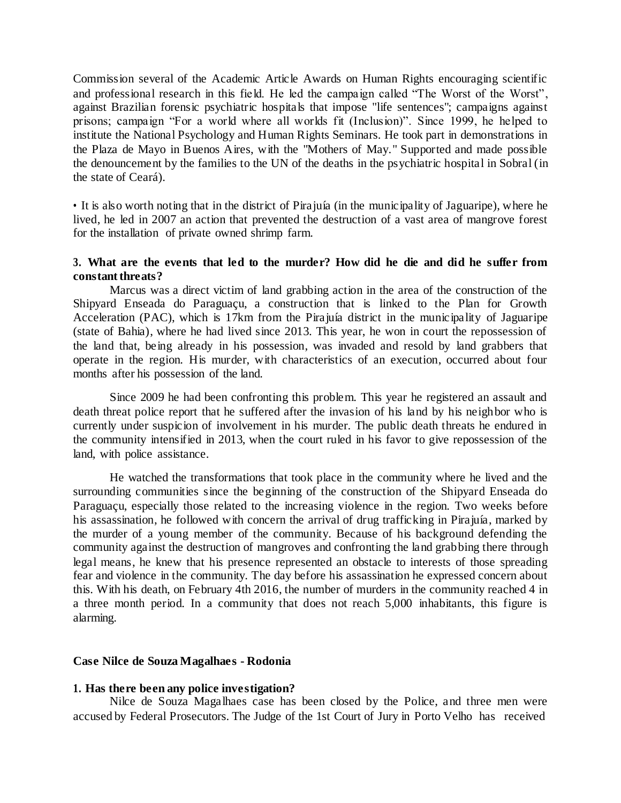Commission several of the Academic Article Awards on Human Rights encouraging scientific and professional research in this field. He led the campaign called "The Worst of the Worst", against Brazilian forensic psychiatric hospitals that impose "life sentences"; campaigns against prisons; campaign "For a world where all worlds fit (Inclusion)". Since 1999, he helped to institute the National Psychology and Human Rights Seminars. He took part in demonstrations in the Plaza de Mayo in Buenos Aires, with the "Mothers of May." Supported and made possible the denouncement by the families to the UN of the deaths in the psychiatric hospital in Sobral (in the state of Ceará).

• It is also worth noting that in the district of Pirajuía (in the municipality of Jaguaripe), where he lived, he led in 2007 an action that prevented the destruction of a vast area of mangrove forest for the installation of private owned shrimp farm.

# **3. What are the events that led to the murder? How did he die and did he suffer from constant threats?**

Marcus was a direct victim of land grabbing action in the area of the construction of the Shipyard Enseada do Paraguaçu, a construction that is linked to the Plan for Growth Acceleration (PAC), which is 17km from the Pirajuía district in the municipality of Jaguaripe (state of Bahia), where he had lived since 2013. This year, he won in court the repossession of the land that, being already in his possession, was invaded and resold by land grabbers that operate in the region. His murder, with characteristics of an execution, occurred about four months after his possession of the land.

Since 2009 he had been confronting this problem. This year he registered an assault and death threat police report that he suffered after the invasion of his land by his neighbor who is currently under suspicion of involvement in his murder. The public death threats he endured in the community intensified in 2013, when the court ruled in his favor to give repossession of the land, with police assistance.

He watched the transformations that took place in the community where he lived and the surrounding communities since the beginning of the construction of the Shipyard Enseada do Paraguaçu, especially those related to the increasing violence in the region. Two weeks before his assassination, he followed with concern the arrival of drug trafficking in Pirajuía, marked by the murder of a young member of the community. Because of his background defending the community against the destruction of mangroves and confronting the land grabbing there through legal means, he knew that his presence represented an obstacle to interests of those spreading fear and violence in the community. The day before his assassination he expressed concern about this. With his death, on February 4th 2016, the number of murders in the community reached 4 in a three month period. In a community that does not reach 5,000 inhabitants, this figure is alarming.

# **Case Nilce de Souza Magalhaes - Rodonia**

### **1. Has there been any police investigation?**

Nilce de Souza Magalhaes case has been closed by the Police, and three men were accused by Federal Prosecutors. The Judge of the 1st Court of Jury in Porto Velho has received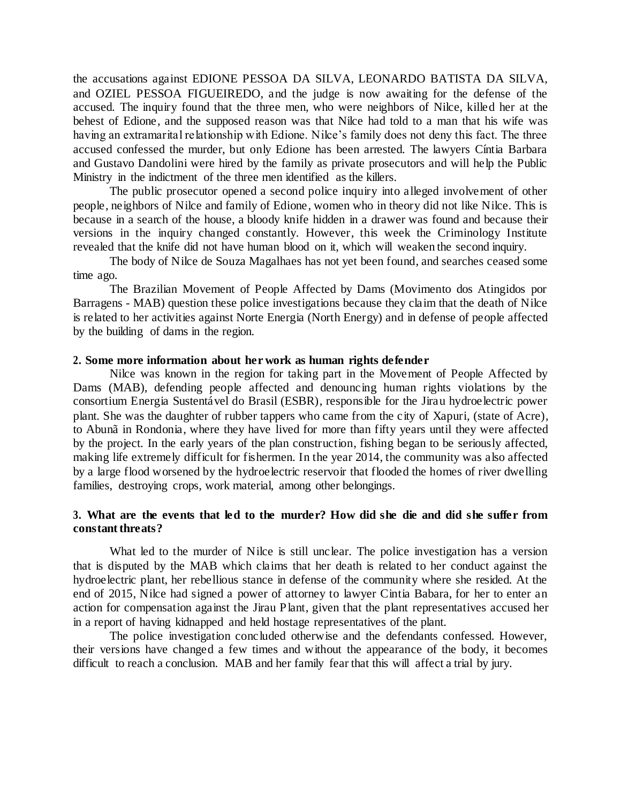the accusations against EDIONE PESSOA DA SILVA, LEONARDO BATISTA DA SILVA, and OZIEL PESSOA FIGUEIREDO, and the judge is now awaiting for the defense of the accused. The inquiry found that the three men, who were neighbors of Nilce, killed her at the behest of Edione, and the supposed reason was that Nilce had told to a man that his wife was having an extramarital relationship with Edione. Nilce's family does not deny this fact. The three accused confessed the murder, but only Edione has been arrested. The lawyers Cíntia Barbara and Gustavo Dandolini were hired by the family as private prosecutors and will help the Public Ministry in the indictment of the three men identified as the killers.

The public prosecutor opened a second police inquiry into alleged involvement of other people, neighbors of Nilce and family of Edione, women who in theory did not like Nilce. This is because in a search of the house, a bloody knife hidden in a drawer was found and because their versions in the inquiry changed constantly. However, this week the Criminology Institute revealed that the knife did not have human blood on it, which will weaken the second inquiry.

The body of Nilce de Souza Magalhaes has not yet been found, and searches ceased some time ago.

The Brazilian Movement of People Affected by Dams (Movimento dos Atingidos por Barragens - MAB) question these police investigations because they claim that the death of Nilce is related to her activities against Norte Energia (North Energy) and in defense of people affected by the building of dams in the region.

### **2. Some more information about her work as human rights defender**

Nilce was known in the region for taking part in the Movement of People Affected by Dams (MAB), defending people affected and denouncing human rights violations by the consortium Energia Sustentável do Brasil (ESBR), responsible for the Jirau hydroelectric power plant. She was the daughter of rubber tappers who came from the city of Xapuri, (state of Acre), to Abunã in Rondonia, where they have lived for more than fifty years until they were affected by the project. In the early years of the plan construction, fishing began to be seriously affected, making life extremely difficult for fishermen. In the year 2014, the community was also affected by a large flood worsened by the hydroelectric reservoir that flooded the homes of river dwelling families, destroying crops, work material, among other belongings.

# **3. What are the events that led to the murder? How did she die and did she suffer from constant threats?**

What led to the murder of Nilce is still unclear. The police investigation has a version that is disputed by the MAB which claims that her death is related to her conduct against the hydroelectric plant, her rebellious stance in defense of the community where she resided. At the end of 2015, Nilce had signed a power of attorney to lawyer Cintia Babara, for her to enter an action for compensation against the Jirau Plant, given that the plant representatives accused her in a report of having kidnapped and held hostage representatives of the plant.

The police investigation concluded otherwise and the defendants confessed. However, their versions have changed a few times and without the appearance of the body, it becomes difficult to reach a conclusion. MAB and her family fear that this will affect a trial by jury.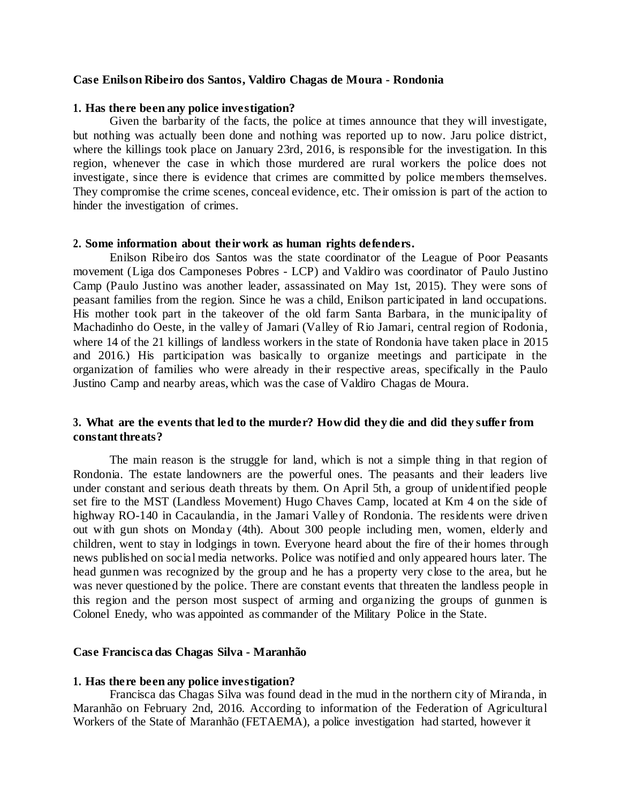#### **Case Enilson Ribeiro dos Santos, Valdiro Chagas de Moura - Rondonia**

#### **1. Has there been any police investigation?**

Given the barbarity of the facts, the police at times announce that they will investigate, but nothing was actually been done and nothing was reported up to now. Jaru police district, where the killings took place on January 23rd, 2016, is responsible for the investigation. In this region, whenever the case in which those murdered are rural workers the police does not investigate, since there is evidence that crimes are committed by police members themselves. They compromise the crime scenes, conceal evidence, etc. Their omission is part of the action to hinder the investigation of crimes.

#### **2. Some information about their work as human rights defenders.**

Enilson Ribeiro dos Santos was the state coordinator of the League of Poor Peasants movement (Liga dos Camponeses Pobres - LCP) and Valdiro was coordinator of Paulo Justino Camp (Paulo Justino was another leader, assassinated on May 1st, 2015). They were sons of peasant families from the region. Since he was a child, Enilson participated in land occupations. His mother took part in the takeover of the old farm Santa Barbara, in the municipality of Machadinho do Oeste, in the valley of Jamari (Valley of Rio Jamari, central region of Rodonia, where 14 of the 21 killings of landless workers in the state of Rondonia have taken place in 2015 and 2016.) His participation was basically to organize meetings and participate in the organization of families who were already in their respective areas, specifically in the Paulo Justino Camp and nearby areas, which was the case of Valdiro Chagas de Moura.

### **3. What are the events that led to the murder? How did they die and did they suffer from constant threats?**

The main reason is the struggle for land, which is not a simple thing in that region of Rondonia. The estate landowners are the powerful ones. The peasants and their leaders live under constant and serious death threats by them. On April 5th, a group of unidentified people set fire to the MST (Landless Movement) Hugo Chaves Camp, located at Km 4 on the side of highway RO-140 in Cacaulandia, in the Jamari Valley of Rondonia. The residents were driven out with gun shots on Monday (4th). About 300 people including men, women, elderly and children, went to stay in lodgings in town. Everyone heard about the fire of their homes through news published on social media networks. Police was notified and only appeared hours later. The head gunmen was recognized by the group and he has a property very close to the area, but he was never questioned by the police. There are constant events that threaten the landless people in this region and the person most suspect of arming and organizing the groups of gunmen is Colonel Enedy, who was appointed as commander of the Military Police in the State.

#### **Case Francisca das Chagas Silva - Maranhão**

#### **1. Has there been any police investigation?**

Francisca das Chagas Silva was found dead in the mud in the northern city of Miranda, in Maranhão on February 2nd, 2016. According to information of the Federation of Agricultural Workers of the State of Maranhão (FETAEMA), a police investigation had started, however it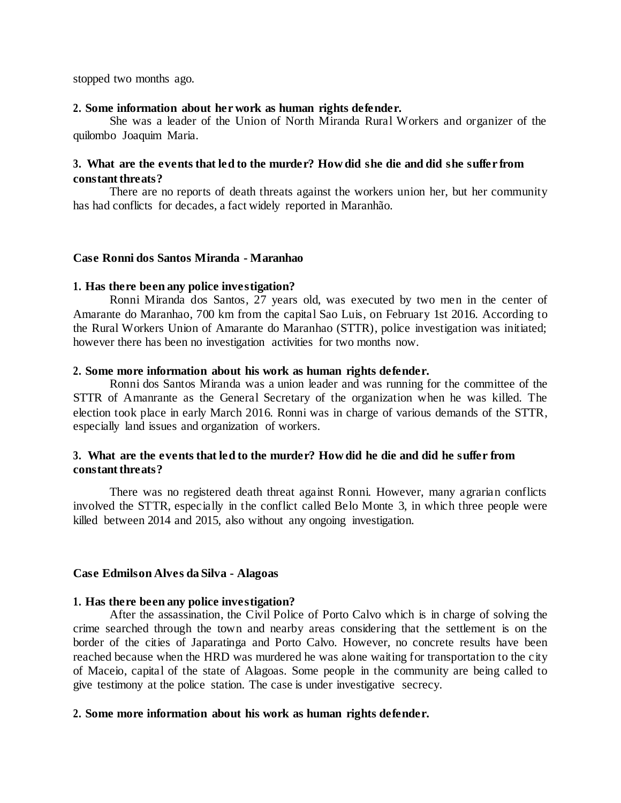stopped two months ago.

### **2. Some information about her work as human rights defender.**

She was a leader of the Union of North Miranda Rural Workers and organizer of the quilombo Joaquim Maria.

# **3. What are the events that led to the murder? How did she die and did she suffer from constant threats?**

There are no reports of death threats against the workers union her, but her community has had conflicts for decades, a fact widely reported in Maranhão.

#### **Case Ronni dos Santos Miranda - Maranhao**

#### **1. Has there been any police investigation?**

Ronni Miranda dos Santos, 27 years old, was executed by two men in the center of Amarante do Maranhao, 700 km from the capital Sao Luis, on February 1st 2016. According to the Rural Workers Union of Amarante do Maranhao (STTR), police investigation was initiated; however there has been no investigation activities for two months now.

#### **2. Some more information about his work as human rights defender.**

Ronni dos Santos Miranda was a union leader and was running for the committee of the STTR of Amanrante as the General Secretary of the organization when he was killed. The election took place in early March 2016. Ronni was in charge of various demands of the STTR, especially land issues and organization of workers.

# **3. What are the events that led to the murder? How did he die and did he suffer from constant threats?**

There was no registered death threat against Ronni. However, many agrarian conflicts involved the STTR, especially in the conflict called Belo Monte 3, in which three people were killed between 2014 and 2015, also without any ongoing investigation.

### **Case Edmilson Alves da Silva - Alagoas**

### **1. Has there been any police investigation?**

After the assassination, the Civil Police of Porto Calvo which is in charge of solving the crime searched through the town and nearby areas considering that the settlement is on the border of the cities of Japaratinga and Porto Calvo. However, no concrete results have been reached because when the HRD was murdered he was alone waiting for transportation to the city of Maceio, capital of the state of Alagoas. Some people in the community are being called to give testimony at the police station. The case is under investigative secrecy.

### **2. Some more information about his work as human rights defender.**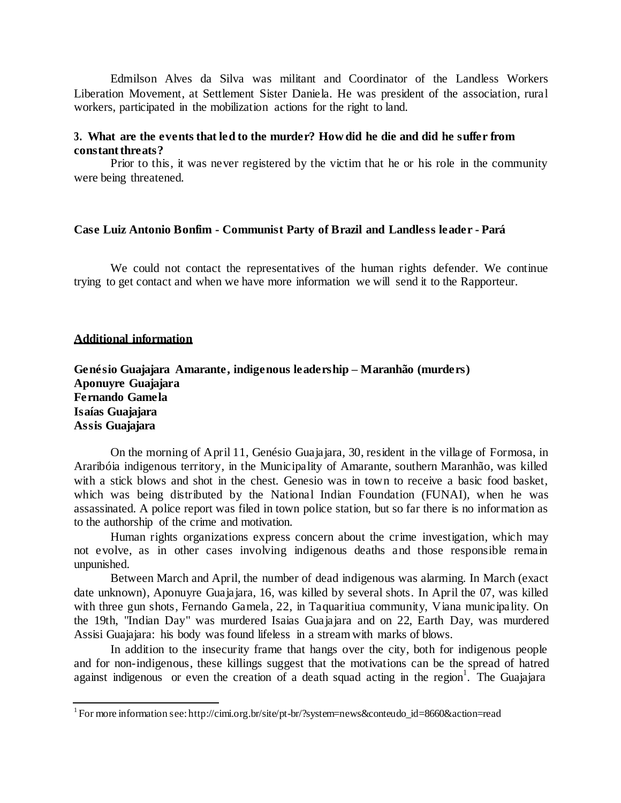Edmilson Alves da Silva was militant and Coordinator of the Landless Workers Liberation Movement, at Settlement Sister Daniela. He was president of the association, rural workers, participated in the mobilization actions for the right to land.

# **3. What are the events that led to the murder? How did he die and did he suffer from constant threats?**

Prior to this, it was never registered by the victim that he or his role in the community were being threatened.

# **Case Luiz Antonio Bonfim - Communist Party of Brazil and Landless leader - Pará**

We could not contact the representatives of the human rights defender. We continue trying to get contact and when we have more information we will send it to the Rapporteur.

### **Additional information**

**Genésio Guajajara Amarante, indigenous leadership – Maranhão (murders) Aponuyre Guajajara Fernando Gamela Isaías Guajajara Assis Guajajara**

On the morning of April 11, Genésio Guajajara, 30, resident in the village of Formosa, in Araribóia indigenous territory, in the Municipality of Amarante, southern Maranhão, was killed with a stick blows and shot in the chest. Genesio was in town to receive a basic food basket, which was being distributed by the National Indian Foundation (FUNAI), when he was assassinated. A police report was filed in town police station, but so far there is no information as to the authorship of the crime and motivation.

Human rights organizations express concern about the crime investigation, which may not evolve, as in other cases involving indigenous deaths and those responsible remain unpunished.

Between March and April, the number of dead indigenous was alarming. In March (exact date unknown), Aponuyre Guajajara, 16, was killed by several shots. In April the 07, was killed with three gun shots, Fernando Gamela, 22, in Taquaritiua community, Viana municipality. On the 19th, "Indian Day" was murdered Isaias Guajajara and on 22, Earth Day, was murdered Assisi Guajajara: his body was found lifeless in a stream with marks of blows.

In addition to the insecurity frame that hangs over the city, both for indigenous people and for non-indigenous, these killings suggest that the motivations can be the spread of hatred against indigenous or even the creation of a death squad acting in the region<sup>1</sup>[.](#page-6-0) The Guajajara

<span id="page-6-0"></span><sup>&</sup>lt;sup>1</sup>For more information see[: http://cimi.org.br/site/pt-br/?system=news&conteudo\\_id=8660&action=read](http://cimi.org.br/site/pt-br/?system=news&conteudo_id=8660&action=read)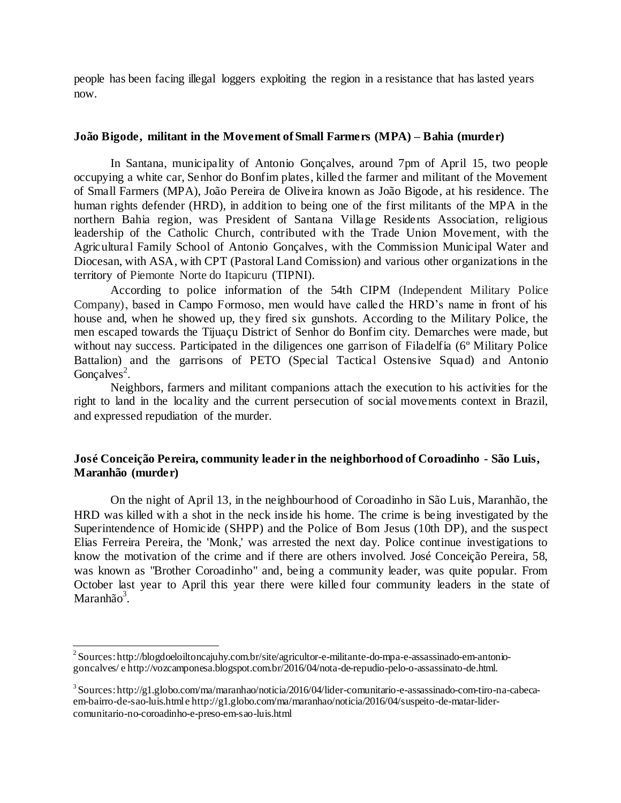people has been facing illegal loggers exploiting the region in a resistance that has lasted years now.

# **João Bigode, militant in the Movement of Small Farmers (MPA) – Bahia (murder)**

In Santana, municipality of Antonio Gonçalves, around 7pm of April 15, two people occupying a white car, Senhor do Bonfim plates, killed the farmer and militant of the Movement of Small Farmers (MPA), João Pereira de Oliveira known as João Bigode, at his residence. The human rights defender (HRD), in addition to being one of the first militants of the MPA in the northern Bahia region, was President of Santana Village Residents Association, religious leadership of the Catholic Church, contributed with the Trade Union Movement, with the Agricultural Family School of Antonio Gonçalves, with the Commission Municipal Water and Diocesan, with ASA, with CPT (Pastoral Land Comission) and various other organizations in the territory of Piemonte Norte do Itapicuru (TIPNI).

According to police information of the 54th CIPM (Independent Military Police Company), based in Campo Formoso, men would have called the HRD's name in front of his house and, when he showed up, they fired six gunshots. According to the Military Police, the men escaped towards the Tijuaçu District of Senhor do Bonfim city. Demarches were made, but without nay success. Participated in the diligences one garrison of Filadelfia (6<sup>°</sup> Military Police Battalion) and the garrisons of PETO (Special Tactical Ostensive Squad) and Antonio Gonçalves<sup>2</sup>[.](#page-7-0)

Neighbors, farmers and militant companions attach the execution to his activities for the right to land in the locality and the current persecution of social movements context in Brazil, and expressed repudiation of the murder.

# **José Conceição Pereira, community leader in the neighborhood of Coroadinho - São Luis, Maranhão (murder)**

On the night of April 13, in the neighbourhood of Coroadinho in São Luis, Maranhão, the HRD was killed with a shot in the neck inside his home. The crime is being investigated by the Superintendence of Homicide (SHPP) and the Police of Bom Jesus (10th DP), and the suspect Elias Ferreira Pereira, the 'Monk,' was arrested the next day. Police continue investigations to know the motivation of the crime and if there are others involved. José Conceição Pereira, 58, was known as "Brother Coroadinho" and, being a community leader, was quite popular. From October last year to April this year there were killed four community leaders in the state of Maranhã[o](#page-7-0) $3$ .

<span id="page-7-0"></span><sup>2</sup>Sources[: http://blogdoeloiltoncajuhy.com.br/site/agricultor-e-militante-do-mpa-e-assassinado-em-antonio](http://blogdoeloiltoncajuhy.com.br/site/agricultor-e-militante-do-mpa-e-assassinado-em-antonio-)goncalves/ [e http://vozcamponesa.blogspot.com.br/2016/04/nota-de-repudio-pelo-o-assassinato-de.html.](http://vozcamponesa.blogspot.com.br/2016/04/nota-de-repudio-pelo-o-assassinato-de.html)

<sup>3</sup>Sources[: http://g1.globo.com/ma/maranhao/noticia/2016/04/lider-comunitario-e-assassinado-com-tiro-na-cabeca](http://g1.globo.com/ma/maranhao/noticia/2016/04/lider-comunitario-e-assassinado-com-tiro-na-cabeca-)em-bairro-de-sao-luis.html [e http://g1.globo.com/ma/maranhao/noticia/2016/04/suspeito-de-matar-lider](http://g1.globo.com/ma/maranhao/noticia/2016/04/suspeito-de-matar-lider-)comunitario-no-coroadinho-e-preso-em-sao-luis.html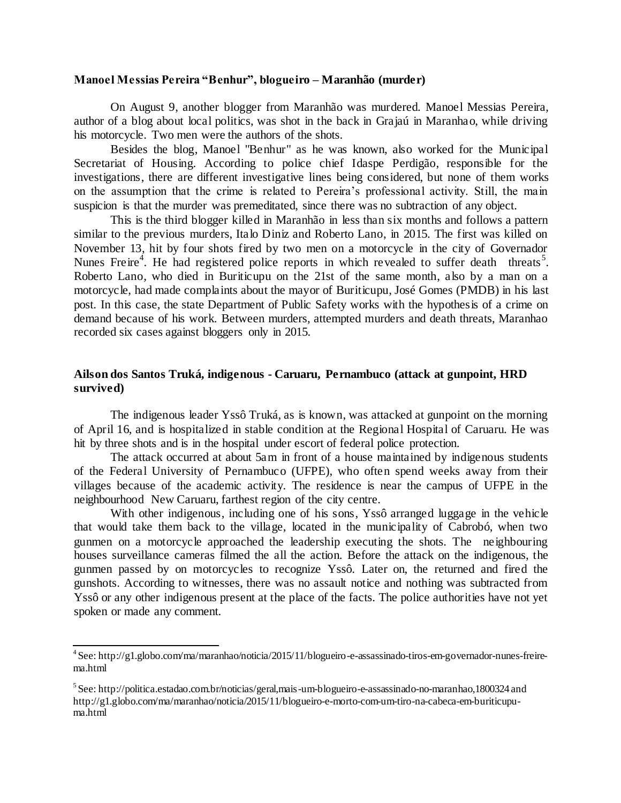#### **Manoel Messias Pereira "Benhur", blogueiro – Maranhão (murder)**

On August 9, another blogger from Maranhão was murdered. Manoel Messias Pereira, author of a blog about local politics, was shot in the back in Grajaú in Maranhao, while driving his motorcycle. Two men were the authors of the shots.

Besides the blog, Manoel "Benhur" as he was known, also worked for the Municipal Secretariat of Housing. According to police chief Idaspe Perdigão, responsible for the investigations, there are different investigative lines being considered, but none of them works on the assumption that the crime is related to Pereira's professional activity. Still, the main suspicion is that the murder was premeditated, since there was no subtraction of any object.

This is the third blogger killed in Maranhão in less than six months and follows a pattern similar to the previous murders, Italo Diniz and Roberto Lano, in 2015. The first was killed on November 13, hit by four shots fired by two men on a motorcycle in the city of Governador Nunes Freire<sup>[4](#page-8-0)</sup>. He had registered police reports in which revealed to suffer death threats<sup>[5](#page-8-0)</sup>. Roberto Lano, who died in Buriticupu on the 21st of the same month, also by a man on a motorcycle, had made complaints about the mayor of Buriticupu, José Gomes (PMDB) in his last post. In this case, the state Department of Public Safety works with the hypothesis of a crime on demand because of his work. Between murders, attempted murders and death threats, Maranhao recorded six cases against bloggers only in 2015.

# **Ailson dos Santos Truká, indigenous - Caruaru, Pernambuco (attack at gunpoint, HRD survived)**

The indigenous leader Yssô Truká, as is known, was attacked at gunpoint on the morning of April 16, and is hospitalized in stable condition at the Regional Hospital of Caruaru. He was hit by three shots and is in the hospital under escort of federal police protection.

The attack occurred at about 5am in front of a house maintained by indigenous students of the Federal University of Pernambuco (UFPE), who often spend weeks away from their villages because of the academic activity. The residence is near the campus of UFPE in the neighbourhood New Caruaru, farthest region of the city centre.

With other indigenous, including one of his sons, Yssô arranged luggage in the vehicle that would take them back to the village, located in the municipality of Cabrobó, when two gunmen on a motorcycle approached the leadership executing the shots. The neighbouring houses surveillance cameras filmed the all the action. Before the attack on the indigenous, the gunmen passed by on motorcycles to recognize Yssô. Later on, the returned and fired the gunshots. According to witnesses, there was no assault notice and nothing was subtracted from Yssô or any other indigenous present at the place of the facts. The police authorities have not yet spoken or made any comment.

<span id="page-8-0"></span><sup>4</sup>See[: http://g1.globo.com/ma/maranhao/noticia/2015/11/blogueiro-e-assassinado-tiros-em-governador-nunes-freire](http://g1.globo.com/ma/maranhao/noticia/2015/11/blogueiro-e-assassinado-tiros-em-governador-nunes-freire-)ma.html

<sup>5</sup>See[: http://politica.estadao.com.br/noticias/geral,mais-um-blogueiro-e-assassinado-no-maranhao,1800324](http://politica.estadao.com.br/noticias/geral%2Cmais-um-blogueiro-e-assassinado-no-maranhao%2C1800324)and [http://g1.globo.com/ma/maranhao/noticia/2015/11/blogueiro-e-morto-com-um-tiro-na-cabeca-em-buriticupu](http://g1.globo.com/ma/maranhao/noticia/2015/11/blogueiro-e-morto-com-um-tiro-na-cabeca-em-buriticupu-)ma.html